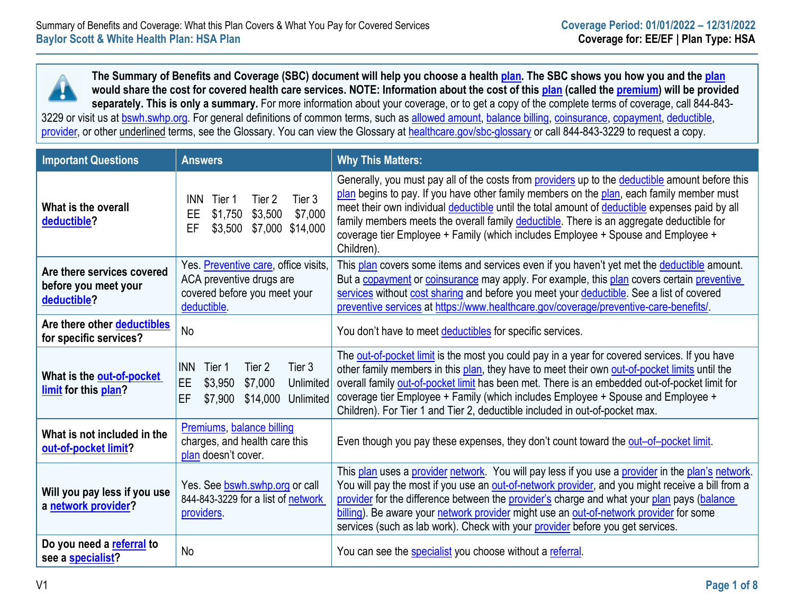**The Summary of Benefits and Coverage (SBC) document will help you choose a healt[h plan.](https://www.healthcare.gov/sbc-glossary/#plan) The SBC shows you how you and the [plan](https://www.healthcare.gov/sbc-glossary/#plan) would share the cost for covered health care services. NOTE: Information about the cost of this [plan](https://www.healthcare.gov/sbc-glossary/#plan) (called the [premium\)](https://www.healthcare.gov/sbc-glossary/#premium) will be provided**  Ţ **separately. This is only a summary.** For more information about your coverage, or to get a copy of the complete terms of coverage, call 844-843 3229 or visit us at [bswh.swhp.org.](https://www.swhp.org/) For general definitions of common terms, such as [allowed amount,](https://www.healthcare.gov/sbc-glossary/#allowed-amount) [balance billing,](https://www.healthcare.gov/sbc-glossary/#balance-billing) [coinsurance,](https://www.healthcare.gov/sbc-glossary/#coinsurance) [copayment,](https://www.healthcare.gov/sbc-glossary/#copayment) [deductible,](https://www.healthcare.gov/sbc-glossary/#deductible) [provider,](https://www.healthcare.gov/sbc-glossary/#provider) or other underlined terms, see the Glossary. You can view the Glossary at [healthcare.gov/sbc-glossary](https://www.healthcare.gov/sbc-glossary) or call 844-843-3229 to request a copy.

| <b>Important Questions</b>                                        | <b>Answers</b>                                                                                                           | <b>Why This Matters:</b>                                                                                                                                                                                                                                                                                                                                                                                                                                                                     |
|-------------------------------------------------------------------|--------------------------------------------------------------------------------------------------------------------------|----------------------------------------------------------------------------------------------------------------------------------------------------------------------------------------------------------------------------------------------------------------------------------------------------------------------------------------------------------------------------------------------------------------------------------------------------------------------------------------------|
| What is the overall<br>deductible?                                | Tier 3<br>Tier 2<br><b>INN</b><br>Tier 1<br>\$1,750<br>\$3,500<br>\$7,000<br>EE<br>EF<br>\$7,000 \$14,000<br>\$3,500     | Generally, you must pay all of the costs from providers up to the deductible amount before this<br>plan begins to pay. If you have other family members on the plan, each family member must<br>meet their own individual deductible until the total amount of deductible expenses paid by all<br>family members meets the overall family deductible. There is an aggregate deductible for<br>coverage tier Employee + Family (which includes Employee + Spouse and Employee +<br>Children). |
| Are there services covered<br>before you meet your<br>deductible? | Yes. Preventive care, office visits,<br>ACA preventive drugs are<br>covered before you meet your<br>deductible.          | This plan covers some items and services even if you haven't yet met the deductible amount.<br>But a copayment or coinsurance may apply. For example, this plan covers certain preventive<br>services without cost sharing and before you meet your deductible. See a list of covered<br>preventive services at https://www.healthcare.gov/coverage/preventive-care-benefits/.                                                                                                               |
| Are there other deductibles<br>for specific services?             | <b>No</b>                                                                                                                | You don't have to meet deductibles for specific services.                                                                                                                                                                                                                                                                                                                                                                                                                                    |
| What is the out-of-pocket<br>limit for this plan?                 | Tier 3<br><b>INN</b><br>Tier 2<br>Tier 1<br>EE<br>\$3,950<br>\$7,000<br>Unlimited<br>EF<br>\$14,000 Unlimited<br>\$7,900 | The out-of-pocket limit is the most you could pay in a year for covered services. If you have<br>other family members in this plan, they have to meet their own out-of-pocket limits until the<br>overall family out-of-pocket limit has been met. There is an embedded out-of-pocket limit for<br>coverage tier Employee + Family (which includes Employee + Spouse and Employee +<br>Children). For Tier 1 and Tier 2, deductible included in out-of-pocket max.                           |
| What is not included in the<br>out-of-pocket limit?               | Premiums, balance billing<br>charges, and health care this<br>plan doesn't cover.                                        | Even though you pay these expenses, they don't count toward the out-of-pocket limit.                                                                                                                                                                                                                                                                                                                                                                                                         |
| Will you pay less if you use<br>a network provider?               | Yes. See bswh.swhp.org or call<br>844-843-3229 for a list of network<br>providers.                                       | This plan uses a provider network. You will pay less if you use a provider in the plan's network.<br>You will pay the most if you use an out-of-network provider, and you might receive a bill from a<br>provider for the difference between the provider's charge and what your plan pays (balance<br>billing). Be aware your network provider might use an out-of-network provider for some<br>services (such as lab work). Check with your provider before you get services.              |
| Do you need a referral to<br>see a specialist?                    | No                                                                                                                       | You can see the specialist you choose without a referral.                                                                                                                                                                                                                                                                                                                                                                                                                                    |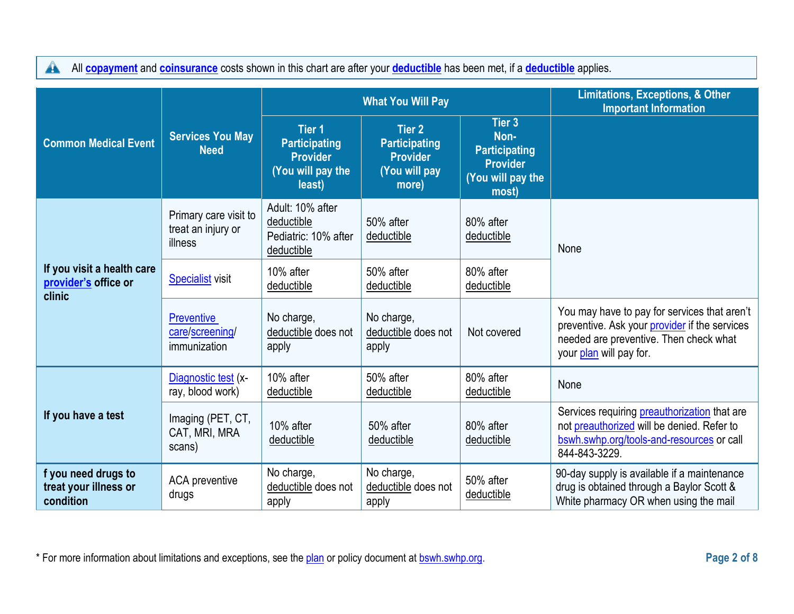All **[copayment](https://www.healthcare.gov/sbc-glossary/#copayment)** and **[coinsurance](https://www.healthcare.gov/sbc-glossary/#coinsurance)** costs shown in this chart are after your **[deductible](https://www.healthcare.gov/sbc-glossary/#deductible)** has been met, if a **deductible** applies.

|                                                              |                                                        |                                                                                         | <b>What You Will Pay</b>                                                           | <b>Limitations, Exceptions, &amp; Other</b><br><b>Important Information</b>                        |                                                                                                                                                                    |
|--------------------------------------------------------------|--------------------------------------------------------|-----------------------------------------------------------------------------------------|------------------------------------------------------------------------------------|----------------------------------------------------------------------------------------------------|--------------------------------------------------------------------------------------------------------------------------------------------------------------------|
| <b>Common Medical Event</b>                                  | <b>Services You May</b><br><b>Need</b>                 | <b>Tier 1</b><br><b>Participating</b><br><b>Provider</b><br>(You will pay the<br>least) | <b>Tier 2</b><br><b>Participating</b><br><b>Provider</b><br>(You will pay<br>more) | Tier <sub>3</sub><br>Non-<br><b>Participating</b><br><b>Provider</b><br>(You will pay the<br>most) |                                                                                                                                                                    |
|                                                              | Primary care visit to<br>treat an injury or<br>illness | Adult: 10% after<br>deductible<br>Pediatric: 10% after<br>deductible                    | 50% after<br>deductible                                                            | 80% after<br>deductible                                                                            | None                                                                                                                                                               |
| If you visit a health care<br>provider's office or<br>clinic | <b>Specialist visit</b>                                | 10% after<br>deductible                                                                 | 50% after<br>deductible                                                            | 80% after<br>deductible                                                                            |                                                                                                                                                                    |
|                                                              | <b>Preventive</b><br>care/screening/<br>immunization   | No charge,<br>deductible does not<br>apply                                              | No charge,<br>deductible does not<br>apply                                         | Not covered                                                                                        | You may have to pay for services that aren't<br>preventive. Ask your provider if the services<br>needed are preventive. Then check what<br>your plan will pay for. |
|                                                              | Diagnostic test (x-<br>ray, blood work)                | 10% after<br>deductible                                                                 | 50% after<br>deductible                                                            | 80% after<br>deductible                                                                            | None                                                                                                                                                               |
| If you have a test                                           | Imaging (PET, CT,<br>CAT, MRI, MRA<br>scans)           | 10% after<br>deductible                                                                 | 50% after<br>deductible                                                            | 80% after<br>deductible                                                                            | Services requiring <b>preauthorization</b> that are<br>not preauthorized will be denied. Refer to<br>bswh.swhp.org/tools-and-resources or call<br>844-843-3229.    |
| f you need drugs to<br>treat your illness or<br>condition    | ACA preventive<br>drugs                                | No charge,<br>deductible does not<br>apply                                              | No charge,<br>deductible does not<br>apply                                         | 50% after<br>deductible                                                                            | 90-day supply is available if a maintenance<br>drug is obtained through a Baylor Scott &<br>White pharmacy OR when using the mail                                  |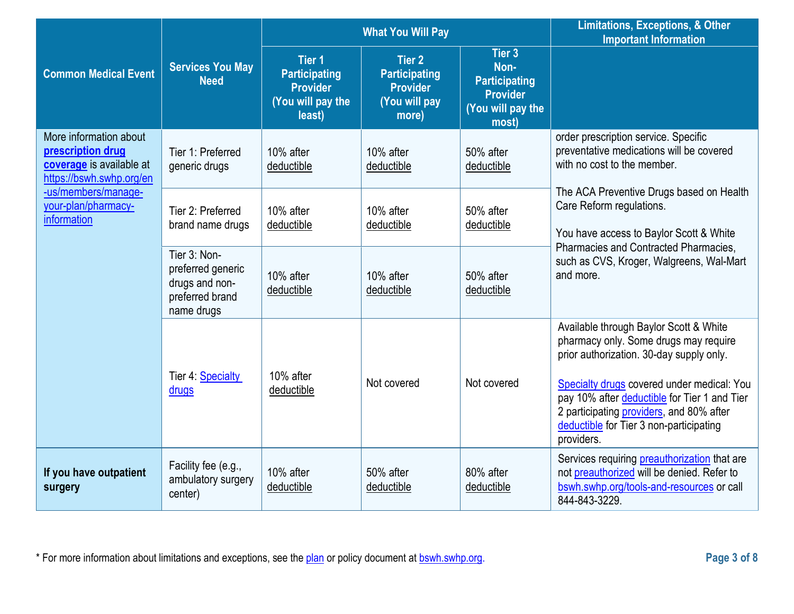|                                                                                                     |                                                                                      | <b>What You Will Pay</b>                                                                |                                                                                    |                                                                                         | <b>Limitations, Exceptions, &amp; Other</b><br><b>Important Information</b>                                                                                                                                                                                                                                                    |
|-----------------------------------------------------------------------------------------------------|--------------------------------------------------------------------------------------|-----------------------------------------------------------------------------------------|------------------------------------------------------------------------------------|-----------------------------------------------------------------------------------------|--------------------------------------------------------------------------------------------------------------------------------------------------------------------------------------------------------------------------------------------------------------------------------------------------------------------------------|
| <b>Common Medical Event</b>                                                                         | <b>Services You May</b><br><b>Need</b>                                               | <b>Tier 1</b><br><b>Participating</b><br><b>Provider</b><br>(You will pay the<br>least) | <b>Tier 2</b><br><b>Participating</b><br><b>Provider</b><br>(You will pay<br>more) | Tier 3<br>Non-<br><b>Participating</b><br><b>Provider</b><br>(You will pay the<br>most) |                                                                                                                                                                                                                                                                                                                                |
| More information about<br>prescription drug<br>coverage is available at<br>https://bswh.swhp.org/en | Tier 1: Preferred<br>generic drugs                                                   | 10% after<br>deductible                                                                 | 10% after<br>deductible                                                            | 50% after<br>deductible                                                                 | order prescription service. Specific<br>preventative medications will be covered<br>with no cost to the member.                                                                                                                                                                                                                |
| -us/members/manage-<br>your-plan/pharmacy-<br>information                                           | Tier 2: Preferred<br>brand name drugs                                                | 10% after<br>deductible                                                                 | 10% after<br>deductible                                                            | 50% after<br>deductible                                                                 | The ACA Preventive Drugs based on Health<br>Care Reform regulations.<br>You have access to Baylor Scott & White<br>Pharmacies and Contracted Pharmacies,                                                                                                                                                                       |
|                                                                                                     | Tier 3: Non-<br>preferred generic<br>drugs and non-<br>preferred brand<br>name drugs | 10% after<br>deductible                                                                 | 10% after<br>deductible                                                            | 50% after<br>deductible                                                                 | such as CVS, Kroger, Walgreens, Wal-Mart<br>and more.                                                                                                                                                                                                                                                                          |
|                                                                                                     | Tier 4: Specialty<br>drugs                                                           | 10% after<br>deductible                                                                 | Not covered                                                                        | Not covered                                                                             | Available through Baylor Scott & White<br>pharmacy only. Some drugs may require<br>prior authorization. 30-day supply only.<br>Specialty drugs covered under medical: You<br>pay 10% after deductible for Tier 1 and Tier<br>2 participating providers, and 80% after<br>deductible for Tier 3 non-participating<br>providers. |
| If you have outpatient<br>surgery                                                                   | Facility fee (e.g.,<br>ambulatory surgery<br>center)                                 | 10% after<br>deductible                                                                 | 50% after<br>deductible                                                            | 80% after<br>deductible                                                                 | Services requiring <b>preauthorization</b> that are<br>not preauthorized will be denied. Refer to<br>bswh.swhp.org/tools-and-resources or call<br>844-843-3229.                                                                                                                                                                |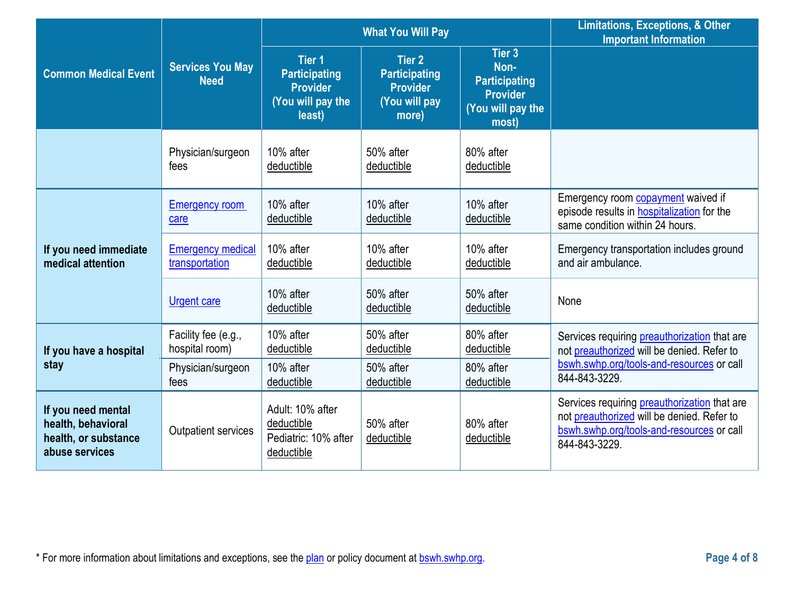|                                                                                    |                                            |                                                                                         | <b>What You Will Pay</b>                                                    | <b>Limitations, Exceptions, &amp; Other</b><br><b>Important Information</b>             |                                                                                                                                                          |
|------------------------------------------------------------------------------------|--------------------------------------------|-----------------------------------------------------------------------------------------|-----------------------------------------------------------------------------|-----------------------------------------------------------------------------------------|----------------------------------------------------------------------------------------------------------------------------------------------------------|
| <b>Common Medical Event</b>                                                        | <b>Services You May</b><br><b>Need</b>     | <b>Tier 1</b><br><b>Participating</b><br><b>Provider</b><br>(You will pay the<br>least) | Tier 2<br><b>Participating</b><br><b>Provider</b><br>(You will pay<br>more) | Tier 3<br>Non-<br><b>Participating</b><br><b>Provider</b><br>(You will pay the<br>most) |                                                                                                                                                          |
|                                                                                    | Physician/surgeon<br>fees                  | 10% after<br>deductible                                                                 | 50% after<br>deductible                                                     | 80% after<br>deductible                                                                 |                                                                                                                                                          |
|                                                                                    | <b>Emergency room</b><br>care              | 10% after<br>deductible                                                                 | 10% after<br>deductible                                                     | 10% after<br>deductible                                                                 | Emergency room <b>copayment</b> waived if<br>episode results in <b>hospitalization</b> for the<br>same condition within 24 hours.                        |
| If you need immediate<br>medical attention                                         | <b>Emergency medical</b><br>transportation | 10% after<br>deductible                                                                 | 10% after<br>deductible                                                     | 10% after<br>deductible                                                                 | Emergency transportation includes ground<br>and air ambulance.                                                                                           |
|                                                                                    | <b>Urgent care</b>                         | 10% after<br>deductible                                                                 | 50% after<br>deductible                                                     | 50% after<br>deductible                                                                 | None                                                                                                                                                     |
| If you have a hospital                                                             | Facility fee (e.g.,<br>hospital room)      | 10% after<br>deductible                                                                 | 50% after<br>deductible                                                     | 80% after<br>deductible                                                                 | Services requiring preauthorization that are<br>not preauthorized will be denied. Refer to                                                               |
| stay                                                                               | Physician/surgeon<br>fees                  | 10% after<br>deductible                                                                 | 50% after<br>deductible                                                     | 80% after<br>deductible                                                                 | bswh.swhp.org/tools-and-resources or call<br>844-843-3229.                                                                                               |
| If you need mental<br>health, behavioral<br>health, or substance<br>abuse services | <b>Outpatient services</b>                 | Adult: 10% after<br>deductible<br>Pediatric: 10% after<br>deductible                    | 50% after<br>deductible                                                     | 80% after<br>deductible                                                                 | Services requiring preauthorization that are<br>not preauthorized will be denied. Refer to<br>bswh.swhp.org/tools-and-resources or call<br>844-843-3229. |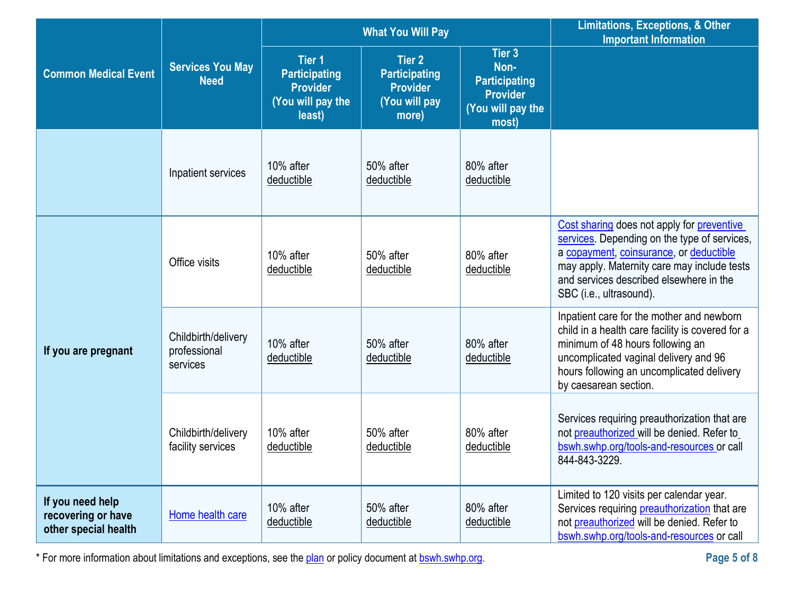|                                                                |                                                 |                                                                                             | <b>What You Will Pay</b>                                                           | <b>Limitations, Exceptions, &amp; Other</b><br><b>Important Information</b>             |                                                                                                                                                                                                                                                            |
|----------------------------------------------------------------|-------------------------------------------------|---------------------------------------------------------------------------------------------|------------------------------------------------------------------------------------|-----------------------------------------------------------------------------------------|------------------------------------------------------------------------------------------------------------------------------------------------------------------------------------------------------------------------------------------------------------|
| <b>Common Medical Event</b>                                    | <b>Services You May</b><br><b>Need</b>          | Tier <sub>1</sub><br><b>Participating</b><br><b>Provider</b><br>(You will pay the<br>least) | <b>Tier 2</b><br><b>Participating</b><br><b>Provider</b><br>(You will pay<br>more) | Tier 3<br>Non-<br><b>Participating</b><br><b>Provider</b><br>(You will pay the<br>most) |                                                                                                                                                                                                                                                            |
|                                                                | Inpatient services                              | 10% after<br>deductible                                                                     | 50% after<br>deductible                                                            | 80% after<br>deductible                                                                 |                                                                                                                                                                                                                                                            |
| If you are pregnant                                            | Office visits                                   | 10% after<br>deductible                                                                     | 50% after<br>deductible                                                            | 80% after<br>deductible                                                                 | Cost sharing does not apply for preventive<br>services. Depending on the type of services,<br>a copayment, coinsurance, or deductible<br>may apply. Maternity care may include tests<br>and services described elsewhere in the<br>SBC (i.e., ultrasound). |
|                                                                | Childbirth/delivery<br>professional<br>services | 10% after<br>deductible                                                                     | 50% after<br>deductible                                                            | 80% after<br>deductible                                                                 | Inpatient care for the mother and newborn<br>child in a health care facility is covered for a<br>minimum of 48 hours following an<br>uncomplicated vaginal delivery and 96<br>hours following an uncomplicated delivery<br>by caesarean section.           |
|                                                                | Childbirth/delivery<br>facility services        | 10% after<br>deductible                                                                     | 50% after<br>deductible                                                            | 80% after<br>deductible                                                                 | Services requiring preauthorization that are<br>not preauthorized will be denied. Refer to<br>bswh.swhp.org/tools-and-resources or call<br>844-843-3229.                                                                                                   |
| If you need help<br>recovering or have<br>other special health | Home health care                                | 10% after<br>deductible                                                                     | 50% after<br>deductible                                                            | 80% after<br>deductible                                                                 | Limited to 120 visits per calendar year.<br>Services requiring <b>preauthorization</b> that are<br>not preauthorized will be denied. Refer to<br>bswh.swhp.org/tools-and-resources or call                                                                 |

\* For more information about limitations and exceptions, see the plan or policy document at bswh.swhp.org. **Page 5 of 8**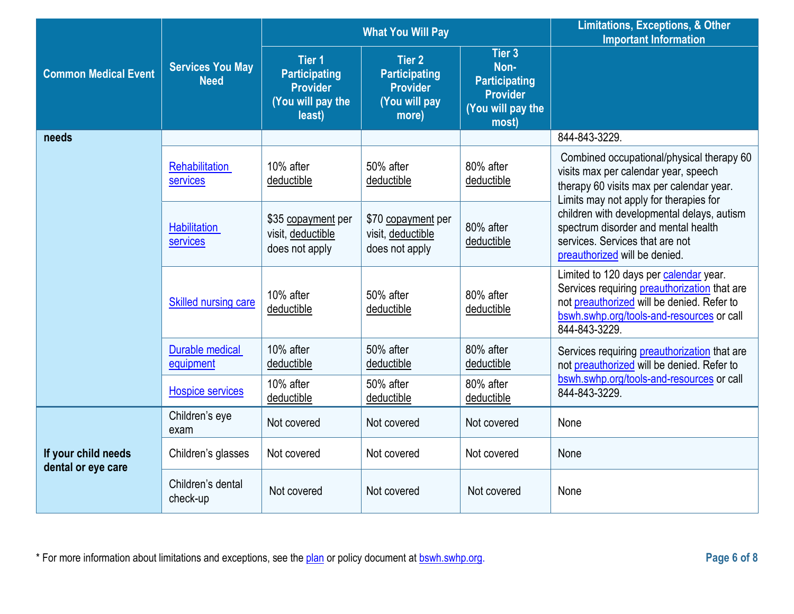|                                           |                                        |                                                                                         | <b>What You Will Pay</b>                                                           | <b>Limitations, Exceptions, &amp; Other</b><br><b>Important Information</b>             |                                                                                                                                                                                                    |
|-------------------------------------------|----------------------------------------|-----------------------------------------------------------------------------------------|------------------------------------------------------------------------------------|-----------------------------------------------------------------------------------------|----------------------------------------------------------------------------------------------------------------------------------------------------------------------------------------------------|
| <b>Common Medical Event</b>               | <b>Services You May</b><br><b>Need</b> | <b>Tier 1</b><br><b>Participating</b><br><b>Provider</b><br>(You will pay the<br>least) | <b>Tier 2</b><br><b>Participating</b><br><b>Provider</b><br>(You will pay<br>more) | Tier 3<br>Non-<br><b>Participating</b><br><b>Provider</b><br>(You will pay the<br>most) |                                                                                                                                                                                                    |
| needs                                     |                                        |                                                                                         |                                                                                    |                                                                                         | 844-843-3229.                                                                                                                                                                                      |
|                                           | <b>Rehabilitation</b><br>services      | 10% after<br>deductible                                                                 | 50% after<br>deductible                                                            | 80% after<br>deductible                                                                 | Combined occupational/physical therapy 60<br>visits max per calendar year, speech<br>therapy 60 visits max per calendar year.<br>Limits may not apply for therapies for                            |
|                                           | <b>Habilitation</b><br>services        | \$35 copayment per<br>visit, deductible<br>does not apply                               | \$70 copayment per<br>visit, deductible<br>does not apply                          | 80% after<br>deductible                                                                 | children with developmental delays, autism<br>spectrum disorder and mental health<br>services. Services that are not<br>preauthorized will be denied.                                              |
|                                           | <b>Skilled nursing care</b>            | 10% after<br>deductible                                                                 | 50% after<br>deductible                                                            | 80% after<br>deductible                                                                 | Limited to 120 days per calendar year.<br>Services requiring preauthorization that are<br>not preauthorized will be denied. Refer to<br>bswh.swhp.org/tools-and-resources or call<br>844-843-3229. |
|                                           | <b>Durable medical</b><br>equipment    | 10% after<br>deductible                                                                 | 50% after<br>deductible                                                            | 80% after<br>deductible                                                                 | Services requiring preauthorization that are<br>not preauthorized will be denied. Refer to                                                                                                         |
|                                           | <b>Hospice services</b>                | 10% after<br>deductible                                                                 | 50% after<br>deductible                                                            | 80% after<br>deductible                                                                 | bswh.swhp.org/tools-and-resources or call<br>844-843-3229.                                                                                                                                         |
|                                           | Children's eye<br>exam                 | Not covered                                                                             | Not covered                                                                        | Not covered                                                                             | None                                                                                                                                                                                               |
| If your child needs<br>dental or eye care | Children's glasses                     | Not covered                                                                             | Not covered                                                                        | Not covered                                                                             | None                                                                                                                                                                                               |
|                                           | Children's dental<br>check-up          | Not covered                                                                             | Not covered                                                                        | Not covered                                                                             | None                                                                                                                                                                                               |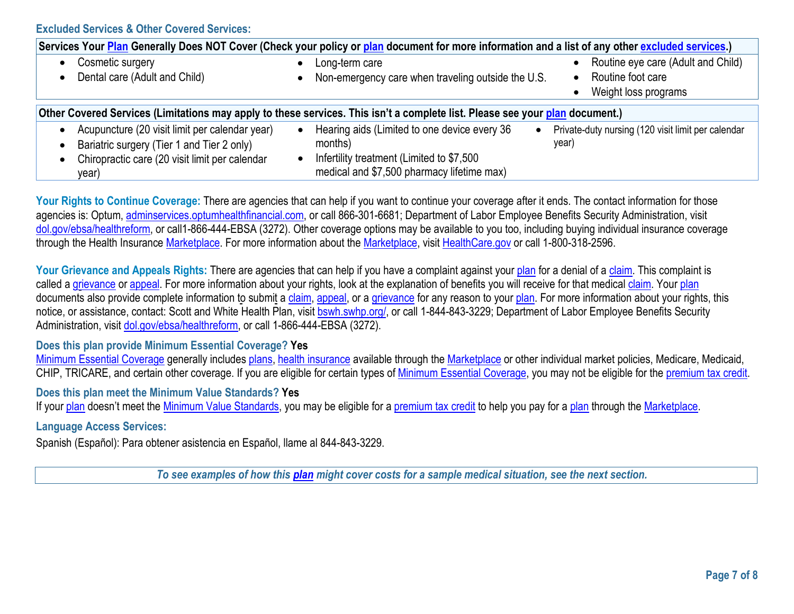**Excluded Services & Other Covered Services:**

| Services Your Plan Generally Does NOT Cover (Check your policy or plan document for more information and a list of any other excluded services.) |  |                                                                                                                              |  |                                                    |  |  |
|--------------------------------------------------------------------------------------------------------------------------------------------------|--|------------------------------------------------------------------------------------------------------------------------------|--|----------------------------------------------------|--|--|
| Cosmetic surgery                                                                                                                                 |  | Long-term care                                                                                                               |  | Routine eye care (Adult and Child)                 |  |  |
| Dental care (Adult and Child)                                                                                                                    |  | Non-emergency care when traveling outside the U.S.                                                                           |  | Routine foot care                                  |  |  |
|                                                                                                                                                  |  |                                                                                                                              |  | Weight loss programs                               |  |  |
|                                                                                                                                                  |  |                                                                                                                              |  |                                                    |  |  |
|                                                                                                                                                  |  | Other Covered Services (Limitations may apply to these services. This isn't a complete list. Please see your plan document.) |  |                                                    |  |  |
| Acupuncture (20 visit limit per calendar year)                                                                                                   |  | Hearing aids (Limited to one device every 36                                                                                 |  | Private-duty nursing (120 visit limit per calendar |  |  |
| Bariatric surgery (Tier 1 and Tier 2 only)                                                                                                       |  | months)                                                                                                                      |  | year)                                              |  |  |
| Chiropractic care (20 visit limit per calendar                                                                                                   |  | Infertility treatment (Limited to \$7,500                                                                                    |  |                                                    |  |  |
| year)                                                                                                                                            |  | medical and \$7,500 pharmacy lifetime max)                                                                                   |  |                                                    |  |  |

Your Rights to Continue Coverage: There are agencies that can help if you want to continue your coverage after it ends. The contact information for those agencies is: Optum[, adminservices.optumhealthfinancial.com, o](http://www.adminservices.optumhealthfinancial.com/)r call 866-301-6681; Department of Labor Employee Benefits Security Administration, visit [dol.gov/ebsa/healthreform,](http://www.dol.gov/ebsa/healthreform) or call1-866-444-EBSA (3272). Other coverage options may be available to you too, including buying individual insurance coverage through the Health Insurance [Marketplace. F](https://www.healthcare.gov/sbc-glossary/#marketplace)or more information about the [Marketplace, v](https://www.healthcare.gov/sbc-glossary/#marketplace)isit [HealthCare.gov](http://www.healthcare.gov/) or call 1-800-318-2596.

Your Grievance and Appeals Rights: There are agencies that can help if you have a complaint against you[r plan](https://www.healthcare.gov/sbc-glossary/#plan) for a denial of a [claim.](https://www.healthcare.gov/sbc-glossary/#claim) This complaint is called [a grievance](https://www.healthcare.gov/sbc-glossary/#grievance) or [appeal. F](https://www.healthcare.gov/sbc-glossary/#appeal)or more information about your rights, look at the explanation of benefits you will receive for that medical [claim.](https://www.healthcare.gov/sbc-glossary/#claim) Your [plan](https://www.healthcare.gov/sbc-glossary/#plan) documents also provide complete information to submit a [claim,](https://www.healthcare.gov/sbc-glossary/#claim) [appeal, o](https://www.healthcare.gov/sbc-glossary/#appeal)r a [grievance](https://www.healthcare.gov/sbc-glossary/#grievance) for any reason to you[r plan. F](https://www.healthcare.gov/sbc-glossary/#plan)or more information about your rights, this notice, or assistance, contact: Scott and White Health Plan, visit bswh.swhp.org/, or call 1-844-843-3229; Department of Labor Employee Benefits Security Administration, visit [dol.gov/ebsa/healthreform,](http://www.dol.gov/ebsa/healthreform) or call 1-866-444-EBSA (3272).

### **Does this plan provide Minimum Essential Coverage? Yes**

[Minimum Essential Coverage](https://www.healthcare.gov/sbc-glossary/#minimum-essential-coverage) generally includes [plans,](https://www.healthcare.gov/sbc-glossary/#plan) [health insurance](https://www.healthcare.gov/sbc-glossary/#health-insurance) available through the [Marketplace](https://www.healthcare.gov/sbc-glossary/#marketplace) or other individual market policies, Medicare, Medicaid, CHIP, TRICARE, and certain other coverage. If you are eligible for certain types of [Minimum Essential Coverage,](https://www.healthcare.gov/sbc-glossary/#minimum-essential-coverage) you may not be eligible for the [premium tax credit.](https://www.healthcare.gov/sbc-glossary/#premium-tax-credits)

### **Does this plan meet the Minimum Value Standards? Yes**

If your [plan](https://www.healthcare.gov/sbc-glossary/#plan) doesn't meet the [Minimum Value Standards,](https://www.healthcare.gov/sbc-glossary/#minimum-value-standard) you may be eligible for a [premium tax credit](https://www.healthcare.gov/sbc-glossary/#premium-tax-credits) to help you pay for a plan through the [Marketplace.](https://www.healthcare.gov/sbc-glossary/#marketplace)

## **Language Access Services:**

Spanish (Español): Para obtener asistencia en Español, llame al 844-843-3229.

*To see examples of how this [plan](https://www.healthcare.gov/sbc-glossary/#plan) might cover costs for a sample medical situation, see the next section.*